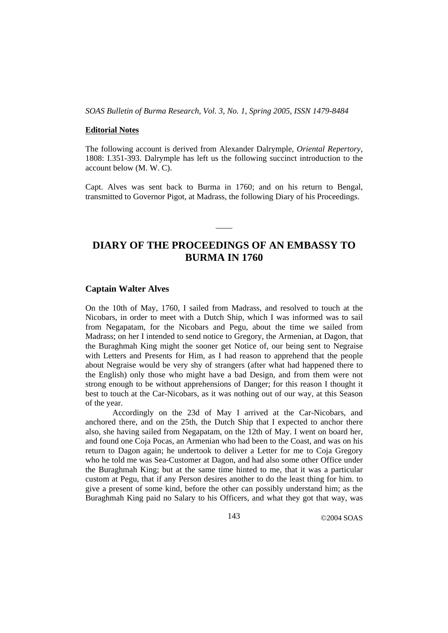*SOAS Bulletin of Burma Research, Vol. 3, No. 1, Spring 2005, ISSN 1479-8484*

## **Editorial Notes**

The following account is derived from Alexander Dalrymple, *Oriental Repertory*, 1808: I.351-393. Dalrymple has left us the following succinct introduction to the account below (M. W. C).

Capt. Alves was sent back to Burma in 1760; and on his return to Bengal, transmitted to Governor Pigot, at Madrass, the following Diary of his Proceedings.

# **DIARY OF THE PROCEEDINGS OF AN EMBASSY TO BURMA IN 1760**

 $\overline{\phantom{a}}$ 

## **Captain Walter Alves**

On the 10th of May, 1760, I sailed from Madrass, and resolved to touch at the Nicobars, in order to meet with a Dutch Ship, which I was informed was to sail from Negapatam, for the Nicobars and Pegu, about the time we sailed from Madrass; on her I intended to send notice to Gregory, the Armenian, at Dagon, that the Buraghmah King might the sooner get Notice of, our being sent to Negraise with Letters and Presents for Him, as I had reason to apprehend that the people about Negraise would be very shy of strangers (after what had happened there to the English) only those who might have a bad Design, and from them were not strong enough to be without apprehensions of Danger; for this reason I thought it best to touch at the Car-Nicobars, as it was nothing out of our way, at this Season of the year.

Accordingly on the 23d of May I arrived at the Car-Nicobars, and anchored there, and on the 25th, the Dutch Ship that I expected to anchor there also, she having sailed from Negapatam, on the 12th of May. I went on board her, and found one Coja Pocas, an Armenian who had been to the Coast, and was on his return to Dagon again; he undertook to deliver a Letter for me to Coja Gregory who he told me was Sea-Customer at Dagon, and had also some other Office under the Buraghmah King; but at the same time hinted to me, that it was a particular custom at Pegu, that if any Person desires another to do the least thing for him. to give a present of some kind, before the other can possibly understand him; as the Buraghmah King paid no Salary to his Officers, and what they got that way, was

143 ©2004 SOAS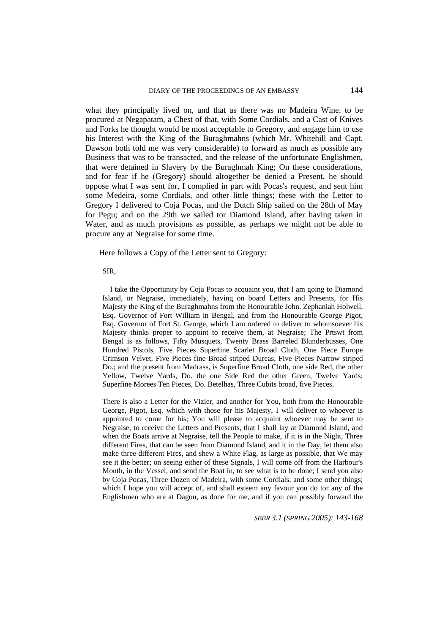what they principally lived on, and that as there was no Madeira Wine. to be procured at Negapatam, a Chest of that, with Some Cordials, and a Cast of Knives and Forks he thought would be most acceptable to Gregory, and engage him to use his Interest with the King of the Buraghmahns (which Mr. Whitehill and Capt. Dawson both told me was very considerable) to forward as much as possible any Business that was to be transacted, and the release of the unfortunate Englishmen, that were detained in Slavery by the Buraghmah King; On these considerations, and for fear if he (Gregory) should altogether be denied a Present, he should oppose what I was sent for, I complied in part with Pocas's request, and sent him some Medeira, some Cordials, and other little things; these with the Letter to Gregory I delivered to Coja Pocas, and the Dutch Ship sailed on the 28th of May for Pegu; and on the 29th we sailed tor Diamond Island, after having taken in Water, and as much provisions as possible, as perhaps we might not be able to procure any at Negraise for some time.

Here follows a Copy of the Letter sent to Gregory:

#### SIR,

I take the Opportunity by Coja Pocas to acquaint you, that I am going to Diamond Island, or Negraise, immediately, having on board Letters and Presents, for His Majesty the King of the Buraghmahns from the Honourable John. Zephaniah Holwell, Esq. Governor of Fort William in Bengal, and from the Honourable George Pigot, Esq. Governor of Fort St. George, which I am ordered to deliver to whomsoever his Majesty thinks proper to appoint to receive them, at Negraise; The Prtswt from Bengal is as follows, Fifty Musquets, Twenty Brass Barreled Blunderbusses, One Hundred Pistols, Five Pieces Superfine Scarlet Broad Cloth, One Piece Europe Crimson Velvet, Five Pieces fine Broad striped Dureas, Five Pieces Narrow striped Do.; and the present from Madrass, is Superfine Broad Cloth, one side Red, the other Yellow, Twelve Yards, Do. the one Side Red the other Green, Twelve Yards; Superfine Morees Ten Pieces, Do. Betelhas, Three Cubits broad, five Pieces.

There is also a Letter for the Vizier, and another for You, both from the Honourable George, Pigot, Esq. which with those for his Majesty, I will deliver to whoever is appointed to come for his; You will please to acquaint whoever may be sent to Negraise, to receive the Letters and Presents, that I shall lay at Diamond Island, and when the Boats arrive at Negraise, tell the People to make, if it is in the Night, Three different Fires, that can be seen from Diamond Island, and it in the Day, let them also make three different Fires, and shew a White Flag, as large as possible, that We may see it the better; on seeing either of these Signals, I will come off from the Harbour's Mouth, in the Vessel, and send the Boat in, to see what is to be done; I send you also by Coja Pocas, Three Dozen of Madeira, with some Cordials, and some other things; which I hope you will accept of, and shall esteem any favour you do tor any of the Englishmen who are at Dagon, as done for me, and if you can possibly forward the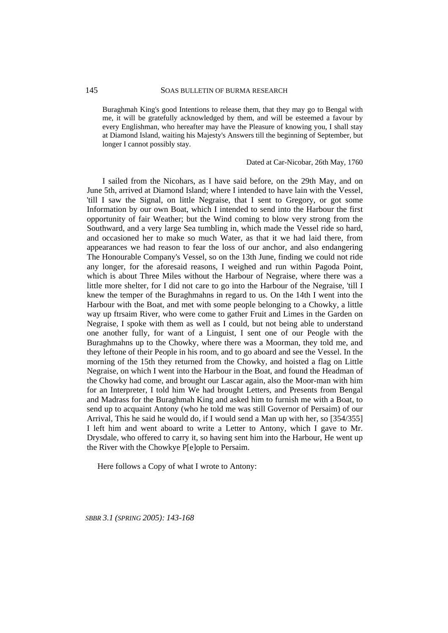Buraghmah King's good Intentions to release them, that they may go to Bengal with me, it will be gratefully acknowledged by them, and will be esteemed a favour by every Englishman, who hereafter may have the Pleasure of knowing you, I shall stay at Diamond Island, waiting his Majesty's Answers till the beginning of September, but longer I cannot possibly stay.

Dated at Car-Nicobar, 26th May, 1760

I sailed from the Nicohars, as I have said before, on the 29th May, and on June 5th, arrived at Diamond Island; where I intended to have lain with the Vessel, 'till I saw the Signal, on little Negraise, that I sent to Gregory, or got some Information by our own Boat, which I intended to send into the Harbour the first opportunity of fair Weather; but the Wind coming to blow very strong from the Southward, and a very large Sea tumbling in, which made the Vessel ride so hard, and occasioned her to make so much Water, as that it we had laid there, from appearances we had reason to fear the loss of our anchor, and also endangering The Honourable Company's Vessel, so on the 13th June, finding we could not ride any longer, for the aforesaid reasons, I weighed and run within Pagoda Point, which is about Three Miles without the Harbour of Negraise, where there was a little more shelter, for I did not care to go into the Harbour of the Negraise, 'till I knew the temper of the Buraghmahns in regard to us. On the 14th I went into the Harbour with the Boat, and met with some people belonging to a Chowky, a little way up ftrsaim River, who were come to gather Fruit and Limes in the Garden on Negraise, I spoke with them as well as I could, but not being able to understand one another fully, for want of a Linguist, I sent one of our Peogle with the Buraghmahns up to the Chowky, where there was a Moorman, they told me, and they leftone of their People in his room, and to go aboard and see the Vessel. In the morning of the 15th they returned from the Chowky, and hoisted a flag on Little Negraise, on which I went into the Harbour in the Boat, and found the Headman of the Chowky had come, and brought our Lascar again, also the Moor-man with him for an Interpreter, I told him We had brought Letters, and Presents from Bengal and Madrass for the Buraghmah King and asked him to furnish me with a Boat, to send up to acquaint Antony (who he told me was still Governor of Persaim) of our Arrival, This he said he would do, if I would send a Man up with her, so [354/355] I left him and went aboard to write a Letter to Antony, which I gave to Mr. Drysdale, who offered to carry it, so having sent him into the Harbour, He went up the River with the Chowkye P[e]ople to Persaim.

Here follows a Copy of what I wrote to Antony: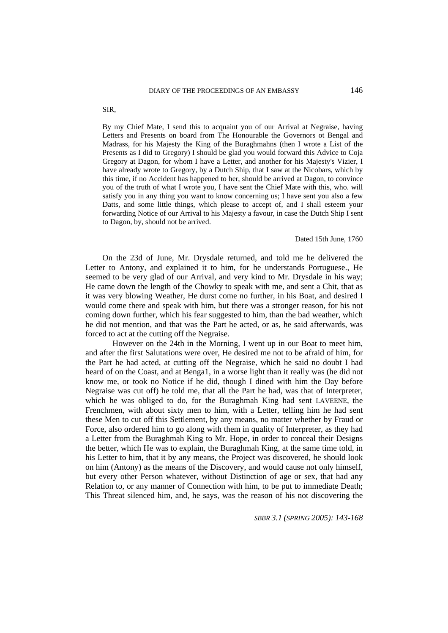By my Chief Mate, I send this to acquaint you of our Arrival at Negraise, having Letters and Presents on board from The Honourable the Governors ot Bengal and Madrass, for his Majesty the King of the Buraghmahns (then I wrote a List of the Presents as I did to Gregory) I should be glad you would forward this Advice to Coja Gregory at Dagon, for whom I have a Letter, and another for his Majesty's Vizier, I have already wrote to Gregory, by a Dutch Ship, that I saw at the Nicobars, which by this time, if no Accident has happened to her, should be arrived at Dagon, to convince you of the truth of what I wrote you, I have sent the Chief Mate with this, who. will satisfy you in any thing you want to know concerning us; I have sent you also a few Datts, and some little things, which please to accept of, and I shall esteem your forwarding Notice of our Arrival to his Majesty a favour, in case the Dutch Ship I sent to Dagon, by, should not be arrived.

## Dated 15th June, 1760

On the 23d of June, Mr. Drysdale returned, and told me he delivered the Letter to Antony, and explained it to him, for he understands Portuguese., He seemed to be very glad of our Arrival, and very kind to Mr. Drysdale in his way; He came down the length of the Chowky to speak with me, and sent a Chit, that as it was very blowing Weather, He durst come no further, in his Boat, and desired I would come there and speak with him, but there was a stronger reason, for his not coming down further, which his fear suggested to him, than the bad weather, which he did not mention, and that was the Part he acted, or as, he said afterwards, was forced to act at the cutting off the Negraise.

However on the 24th in the Morning, I went up in our Boat to meet him, and after the first Salutations were over, He desired me not to be afraid of him, for the Part he had acted, at cutting off the Negraise, which he said no doubt I had heard of on the Coast, and at Benga1, in a worse light than it really was (he did not know me, or took no Notice if he did, though I dined with him the Day before Negraise was cut off) he told me, that all the Part he had, was that of Interpreter, which he was obliged to do, for the Buraghmah King had sent LAVEENE, the Frenchmen, with about sixty men to him, with a Letter, telling him he had sent these Men to cut off this Settlement, by any means, no matter whether by Fraud or Force, also ordered him to go along with them in quality of Interpreter, as they had a Letter from the Buraghmah King to Mr. Hope, in order to conceal their Designs the better, which He was to explain, the Buraghmah King, at the same time told, in his Letter to him, that it by any means, the Project was discovered, he should look on him (Antony) as the means of the Discovery, and would cause not only himself, but every other Person whatever, without Distinction of age or sex, that had any Relation to, or any manner of Connection with him, to be put to immediate Death; This Threat silenced him, and, he says, was the reason of his not discovering the

*SBBR 3.1 (SPRING 2005): 143-168*

SIR,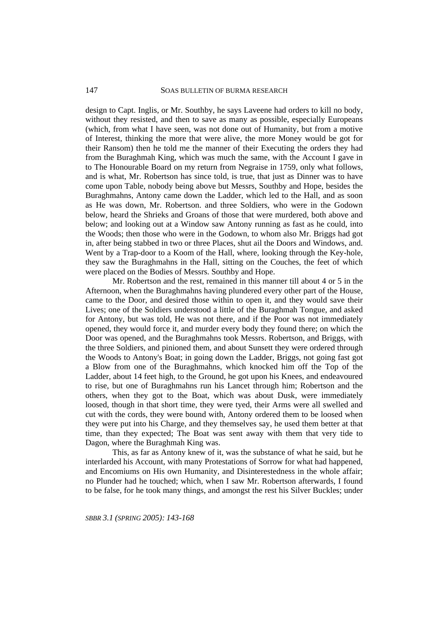## SOAS BULLETIN OF BURMA RESEARCH

design to Capt. Inglis, or Mr. Southby, he says Laveene had orders to kill no body, without they resisted, and then to save as many as possible, especially Europeans (which, from what I have seen, was not done out of Humanity, but from a motive of Interest, thinking the more that were alive, the more Money would be got for their Ransom) then he told me the manner of their Executing the orders they had from the Buraghmah King, which was much the same, with the Account I gave in to The Honourable Board on my return from Negraise in 1759, only what follows, and is what, Mr. Robertson has since told, is true, that just as Dinner was to have come upon Table, nobody being above but Messrs, Southby and Hope, besides the Buraghmahns, Antony came down the Ladder, which led to the Hall, and as soon as He was down, Mr. Robertson. and three Soldiers, who were in the Godown below, heard the Shrieks and Groans of those that were murdered, both above and below; and looking out at a Window saw Antony running as fast as he could, into the Woods; then those who were in the Godown, to whom also Mr. Briggs had got in, after being stabbed in two or three Places, shut ail the Doors and Windows, and. Went by a Trap-door to a Koom of the Hall, where, looking through the Key-hole, they saw the Buraghmahns in the Hall, sitting on the Couches, the feet of which were placed on the Bodies of Messrs. Southby and Hope.

Mr. Robertson and the rest, remained in this manner till about 4 or 5 in the Afternoon, when the Buraghmahns having plundered every other part of the House, came to the Door, and desired those within to open it, and they would save their Lives; one of the Soldiers understood a little of the Buraghmah Tongue, and asked for Antony, but was told, He was not there, and if the Poor was not immediately opened, they would force it, and murder every body they found there; on which the Door was opened, and the Buraghmahns took Messrs. Robertson, and Briggs, with the three Soldiers, and pinioned them, and about Sunsett they were ordered through the Woods to Antony's Boat; in going down the Ladder, Briggs, not going fast got a Blow from one of the Buraghmahns, which knocked him off the Top of the Ladder, about 14 feet high, to the Ground, he got upon his Knees, and endeavoured to rise, but one of Buraghmahns run his Lancet through him; Robertson and the others, when they got to the Boat, which was about Dusk, were immediately loosed, though in that short time, they were tyed, their Arms were all swelled and cut with the cords, they were bound with, Antony ordered them to be loosed when they were put into his Charge, and they themselves say, he used them better at that time, than they expected; The Boat was sent away with them that very tide to Dagon, where the Buraghmah King was.

This, as far as Antony knew of it, was the substance of what he said, but he interlarded his Account, with many Protestations of Sorrow for what had happened, and Encomiums on His own Humanity, and Disinterestedness in the whole affair; no Plunder had he touched; which, when I saw Mr. Robertson afterwards, I found to be false, for he took many things, and amongst the rest his Silver Buckles; under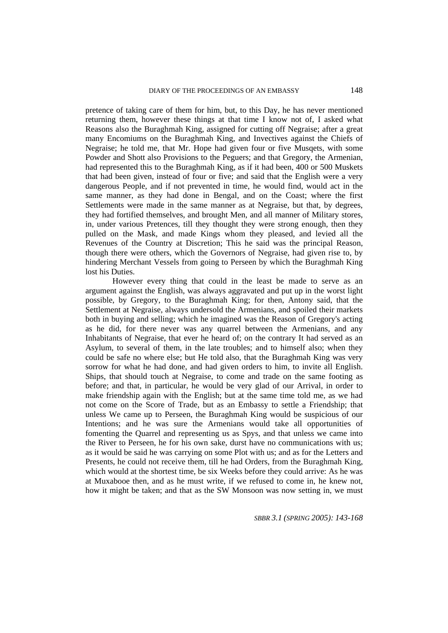pretence of taking care of them for him, but, to this Day, he has never mentioned returning them, however these things at that time I know not of, I asked what Reasons also the Buraghmah King, assigned for cutting off Negraise; after a great many Encomiums on the Buraghmah King, and Invectives against the Chiefs of Negraise; he told me, that Mr. Hope had given four or five Musqets, with some Powder and Shott also Provisions to the Peguers; and that Gregory, the Armenian, had represented this to the Buraghmah King, as if it had been, 400 or 500 Muskets that had been given, instead of four or five; and said that the English were a very dangerous People, and if not prevented in time, he would find, would act in the same manner, as they had done in Bengal, and on the Coast; where the first Settlements were made in the same manner as at Negraise, but that, by degrees, they had fortified themselves, and brought Men, and all manner of Military stores, in, under various Pretences, till they thought they were strong enough, then they pulled on the Mask, and made Kings whom they pleased, and levied all the Revenues of the Country at Discretion; This he said was the principal Reason, though there were others, which the Governors of Negraise, had given rise to, by hindering Merchant Vessels from going to Perseen by which the Buraghmah King lost his Duties.

However every thing that could in the least be made to serve as an argument against the English, was always aggravated and put up in the worst light possible, by Gregory, to the Buraghmah King; for then, Antony said, that the Settlement at Negraise, always undersold the Armenians, and spoiled their markets both in buying and selling; which he imagined was the Reason of Gregory's acting as he did, for there never was any quarrel between the Armenians, and any Inhabitants of Negraise, that ever he heard of; on the contrary It had served as an Asylum, to several of them, in the late troubles; and to himself also; when they could be safe no where else; but He told also, that the Buraghmah King was very sorrow for what he had done, and had given orders to him, to invite all English. Ships, that should touch at Negraise, to come and trade on the same footing as before; and that, in particular, he would be very glad of our Arrival, in order to make friendship again with the English; but at the same time told me, as we had not come on the Score of Trade, but as an Embassy to settle a Friendship; that unless We came up to Perseen, the Buraghmah King would be suspicious of our Intentions; and he was sure the Armenians would take all opportunities of fomenting the Quarrel and representing us as Spys, and that unless we came into the River to Perseen, he for his own sake, durst have no communications with us; as it would be said he was carrying on some Plot with us; and as for the Letters and Presents, he could not receive them, till he had Orders, from the Buraghmah King, which would at the shortest time, be six Weeks before they could arrive: As he was at Muxabooe then, and as he must write, if we refused to come in, he knew not, how it might be taken; and that as the SW Monsoon was now setting in, we must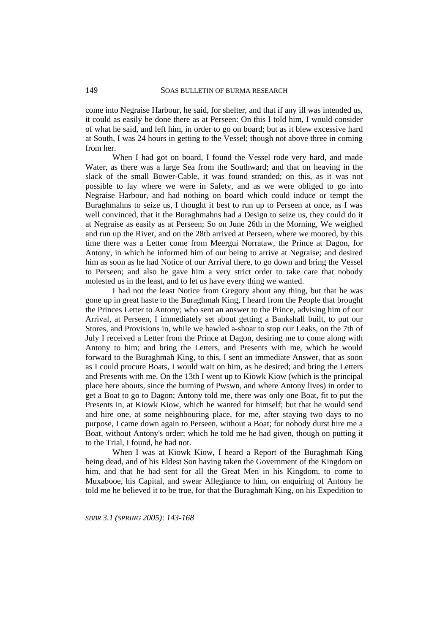come into Negraise Harbour, he said, for shelter, and that if any ill was intended us, it could as easily be done there as at Perseen: On this I told him, I would consider of what he said, and left him, in order to go on board; but as it blew excessive hard at South, I was 24 hours in getting to the Vessel; though not above three in coming from her.

When I had got on board, I found the Vessel rode very hard, and made Water, as there was a large Sea from the Southward; and that on heaving in the slack of the small Bower-Cable, it was found stranded; on this, as it was not possible to lay where we were in Safety, and as we were obliged to go into Negraise Harbour, and had nothing on board which could induce or tempt the Buraghmahns to seize us, I thought it best to run up to Perseen at once, as I was well convinced, that it the Buraghmahns had a Design to seize us, they could do it at Negraise as easily as at Perseen; So on June 26th in the Morning, We weighed and run up the River, and on the 28th arrived at Perseen, where we moored, by this time there was a Letter come from Meergui Norrataw, the Prince at Dagon, for Antony, in which he informed him of our being to arrive at Negraise; and desired him as soon as he had Notice of our Arrival there, to go down and bring the Vessel to Perseen; and also he gave him a very strict order to take care that nobody molested us in the least, and to let us have every thing we wanted.

I had not the least Notice from Gregory about any thing, but that he was gone up in great haste to the Buraghmah King, I heard from the People that brought the Princes Letter to Antony; who sent an answer to the Prince, advising him of our Arrival, at Perseen, I immediately set about getting a Bankshall built, to put our Stores, and Provisions in, while we hawled a-shoar to stop our Leaks, on the 7th of July I received a Letter from the Prince at Dagon, desiring me to come along with Antony to him; and bring the Letters, and Presents with me, which he would forward to the Buraghmah King, to this, I sent an immediate Answer, that as soon as I could procure Boats, I would wait on him, as he desired; and bring the Letters and Presents with me. On the 13th I went up to Kiowk Kiow (which is the principal place here abouts, since the burning of Pwswn, and where Antony lives) in order to get a Boat to go to Dagon; Antony told me, there was only one Boat, fit to put the Presents in, at Kiowk Kiow, which he wanted for himself; but that he would send and hire one, at some neighbouring place, for me, after staying two days to no purpose, I came down again to Perseen, without a Boat; for nobody durst hire me a Boat, without Antony's order; which he told me he had given, though on putting it to the Trial, I found, he had not.

When I was at Kiowk Kiow, I heard a Report of the Buraghmah King being dead, and of his Eldest Son having taken the Government of the Kingdom on him, and that he had sent for all the Great Men in his Kingdom, to come to Muxabooe, his Capital, and swear Allegiance to him, on enquiring of Antony he told me he believed it to be true, for that the Buraghmah King, on his Expedition to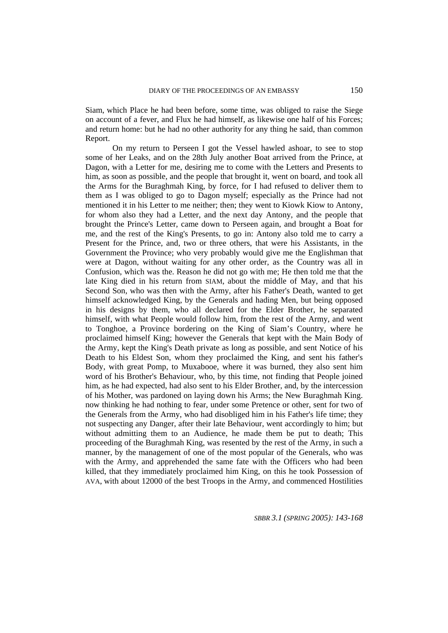Siam, which Place he had been before, some time, was obliged to raise the Siege on account of a fever, and Flux he had himself, as likewise one half of his Forces; and return home: but he had no other authority for any thing he said, than common Report.

On my return to Perseen I got the Vessel hawled ashoar, to see to stop some of her Leaks, and on the 28th July another Boat arrived from the Prince, at Dagon, with a Letter for me, desiring me to come with the Letters and Presents to him, as soon as possible, and the people that brought it, went on board, and took all the Arms for the Buraghmah King, by force, for I had refused to deliver them to them as I was obliged to go to Dagon myself; especially as the Prince had not mentioned it in his Letter to me neither; then; they went to Kiowk Kiow to Antony, for whom also they had a Letter, and the next day Antony, and the people that brought the Prince's Letter, came down to Perseen again, and brought a Boat for me, and the rest of the King's Presents, to go in: Antony also told me to carry a Present for the Prince, and, two or three others, that were his Assistants, in the Government the Province; who very probably would give me the Englishman that were at Dagon, without waiting for any other order, as the Country was all in Confusion, which was the. Reason he did not go with me; He then told me that the late King died in his return from SIAM, about the middle of May, and that his Second Son, who was then with the Army, after his Father's Death, wanted to get himself acknowledged King, by the Generals and hading Men, but being opposed in his designs by them, who all declared for the Elder Brother, he separated himself, with what People would follow him, from the rest of the Army, and went to Tonghoe, a Province bordering on the King of Siam's Country, where he proclaimed himself King; however the Generals that kept with the Main Body of the Army, kept the King's Death private as long as possible, and sent Notice of his Death to his Eldest Son, whom they proclaimed the King, and sent his father's Body, with great Pomp, to Muxabooe, where it was burned, they also sent him word of his Brother's Behaviour, who, by this time, not finding that People joined him, as he had expected, had also sent to his Elder Brother, and, by the intercession of his Mother, was pardoned on laying down his Arms; the New Buraghmah King. now thinking he had nothing to fear, under some Pretence or other, sent for two of the Generals from the Army, who had disobliged him in his Father's life time; they not suspecting any Danger, after their late Behaviour, went accordingly to him; but without admitting them to an Audience, he made them be put to death; This proceeding of the Buraghmah King, was resented by the rest of the Army, in such a manner, by the management of one of the most popular of the Generals, who was with the Army, and apprehended the same fate with the Officers who had been killed, that they immediately proclaimed him King, on this he took Possession of AVA, with about 12000 of the best Troops in the Army, and commenced Hostilities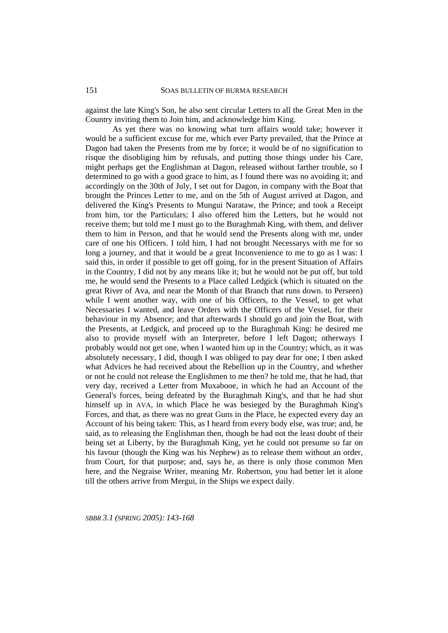against the late King's Son, he also sent circular Letters to all the Great Men in the Country inviting them to Join him, and acknowledge him King.

As yet there was no knowing what turn affairs would take; however it would be a sufficient excuse for me, which ever Party prevailed, that the Prince at Dagon had taken the Presents from me by force; it would be of no signification to risque the disobliging him by refusals, and putting those things under his Care, might perhaps get the Englishman at Dagon, released without farther trouble, so I determined to go with a good grace to him, as I found there was no avoiding it; and accordingly on the 30th of July, I set out for Dagon, in company with the Boat that brought the Princes Letter to me, and on the 5th of August arrived at Dagon, and delivered the King's Presents to Mungui Narataw, the Prince; and took a Receipt from him, tor the Particulars; I also offered him the Letters, but he would not receive them; but told me I must go to the Buraghmah King, with them, and deliver them to him in Person, and that he would send the Presents along with me, under care of one his Officers. I told him, I had not brought Necessarys with me for so long a journey, and that it would be a great Inconvenience to me to go as I was: I said this, in order if possible to get off going, for in the present Situation of Affairs in the Country, I did not by any means like it; but he would not be put off, but told me, he would send the Presents to a Place called Ledgick (which is situated on the great River of Ava, and near the Month of that Branch that runs down. to Perseen) while I went another way, with one of his Officers, to the Vessel, to get what Necessaries I wanted, and leave Orders with the Officers of the Vessel, for their behaviour in my Absence; and that afterwards I should go and join the Boat, with the Presents, at Ledgick, and proceed up to the Buraghmah King: he desired me also to provide myself with an Interpreter, before I left Dagon; otherways I probably would not get one, when I wanted him up in the Country; which, as it was absolutely necessary, I did, though I was obliged to pay dear for one; I then asked what Advices he had received about the Rebellion up in the Country, and whether or not he could not release the Englishmen to me then? he told me, that he had, that very day, received a Letter from Muxabooe, in which he had an Account of the General's forces, being defeated by the Buraghmah King's, and that he had shut himself up in AVA, in which Place he was besieged by the Buraghmah King's Forces, and that, as there was no great Guns in the Place, he expected every day an Account of his being taken: This, as I heard from every body else, was true; and, he said, as to releasing the Englishman then, though he had not the least doubt of their being set at Liberty, by the Buraghmah King, yet he could not presume so far on his favour (though the King was his Nephew) as to release them without an order, from Court, for that purpose; and, says he, as there is only those common Men here, and the Negraise Writer, meaning Mr. Robertson, you had better let it alone till the others arrive from Mergui, in the Ships we expect daily.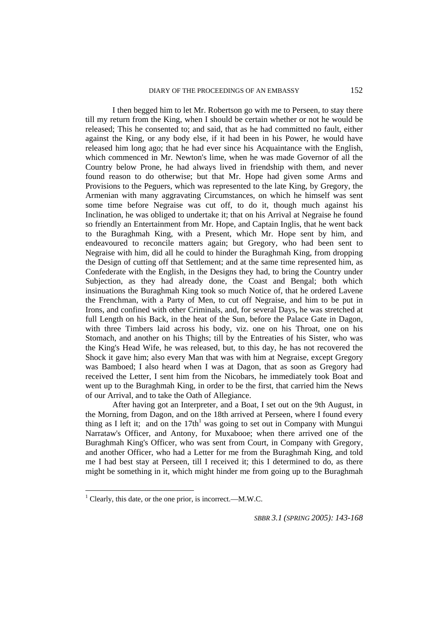I then begged him to let Mr. Robertson go with me to Perseen, to stay there till my return from the King, when I should be certain whether or not he would be released; This he consented to; and said, that as he had committed no fault, either against the King, or any body else, if it had been in his Power, he would have released him long ago; that he had ever since his Acquaintance with the English, which commenced in Mr. Newton's lime, when he was made Governor of all the Country below Prone, he had always lived in friendship with them, and never found reason to do otherwise; but that Mr. Hope had given some Arms and Provisions to the Peguers, which was represented to the late King, by Gregory, the Armenian with many aggravating Circumstances, on which he himself was sent some time before Negraise was cut off, to do it, though much against his Inclination, he was obliged to undertake it; that on his Arrival at Negraise he found so friendly an Entertainment from Mr. Hope, and Captain Inglis, that he went back to the Buraghmah King, with a Present, which Mr. Hope sent by him, and endeavoured to reconcile matters again; but Gregory, who had been sent to Negraise with him, did all he could to hinder the Buraghmah King, from dropping the Design of cutting off that Settlement; and at the same time represented him, as Confederate with the English, in the Designs they had, to bring the Country under Subjection, as they had already done, the Coast and Bengal; both which insinuations the Buraghmah King took so much Notice of, that he ordered Lavene the Frenchman, with a Party of Men, to cut off Negraise, and him to be put in Irons, and confined with other Criminals, and, for several Days, he was stretched at full Length on his Back, in the heat of the Sun, before the Palace Gate in Dagon, with three Timbers laid across his body, viz. one on his Throat, one on his Stomach, and another on his Thighs; till by the Entreaties of his Sister, who was the King's Head Wife, he was released, but, to this day, he has not recovered the Shock it gave him; also every Man that was with him at Negraise, except Gregory was Bamboed; I also heard when I was at Dagon, that as soon as Gregory had received the Letter, I sent him from the Nicobars, he immediately took Boat and went up to the Buraghmah King, in order to be the first, that carried him the News of our Arrival, and to take the Oath of Allegiance.

After having got an Interpreter, and a Boat, I set out on the 9th August, in the Morning, from Dagon, and on the 18th arrived at Perseen, where I found every thing as I left it; and on the  $17th<sup>1</sup>$  was going to set out in Company with Mungui Narrataw's Officer, and Antony, for Muxabooe; when there arrived one of the Buraghmah King's Officer, who was sent from Court, in Company with Gregory, and another Officer, who had a Letter for me from the Buraghmah King, and told me I had best stay at Perseen, till I received it; this I determined to do, as there might be something in it, which might hinder me from going up to the Buraghmah

 $\overline{a}$ 

<sup>&</sup>lt;sup>1</sup> Clearly, this date, or the one prior, is incorrect.—M.W.C.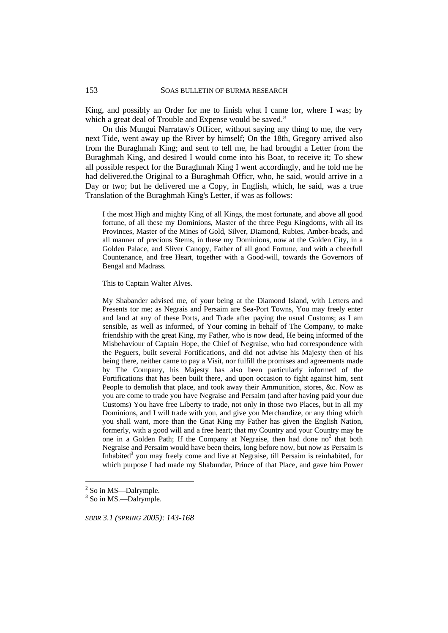King, and possibly an Order for me to finish what I came for, where I was; by which a great deal of Trouble and Expense would be saved."

On this Mungui Narrataw's Officer, without saying any thing to me, the very next Tide, went away up the River by himself; On the 18th, Gregory arrived also from the Buraghmah King; and sent to tell me, he had brought a Letter from the Buraghmah King, and desired I would come into his Boat, to receive it; To shew all possible respect for the Buraghmah King I went accordingly, and he told me he had delivered.the Original to a Buraghmah Officr, who, he said, would arrive in a Day or two; but he delivered me a Copy, in English, which, he said, was a true Translation of the Buraghmah King's Letter, if was as follows:

I the most High and mighty King of all Kings, the most fortunate, and above all good fortune, of all these my Dominions, Master of the three Pegu Kingdoms, with all its Provinces, Master of the Mines of Gold, Silver, Diamond, Rubies, Amber-beads, and all manner of precious Stems, in these my Dominions, now at the Golden City, in a Golden Palace, and Sliver Canopy, Father of all good Fortune, and with a cheerfull Countenance, and free Heart, together with a Good-will, towards the Governors of Bengal and Madrass.

This to Captain Walter Alves.

My Shabander advised me, of your being at the Diamond Island, with Letters and Presents tor me; as Negrais and Persaim are Sea-Port Towns, You may freely enter and land at any of these Ports, and Trade after paying the usual Customs; as I am sensible, as well as informed, of Your coming in behalf of The Company, to make friendship with the great King, my Father, who is now dead, He being informed of the Misbehaviour of Captain Hope, the Chief of Negraise, who had correspondence with the Peguers, built several Fortifications, and did not advise his Majesty then of his being there, neither came to pay a Visit, nor fulfill the promises and agreements made by The Company, his Majesty has also been particularly informed of the Fortifications that has been built there, and upon occasion to fight against him, sent People to demolish that place, and took away their Ammunition, stores, &c. Now as you are come to trade you have Negraise and Persaim (and after having paid your due Customs) You have free Liberty to trade, not only in those two Places, but in all my Dominions, and I will trade with you, and give you Merchandize, or any thing which you shall want, more than the Gnat King my Father has given the English Nation, formerly, with a good will and a free heart; that my Country and your Country may be one in a Golden Path; If the Company at Negraise, then had done  $no<sup>2</sup>$  that both Negraise and Persaim would have been theirs, long before now, but now as Persaim is Inhabited<sup>3</sup> you may freely come and live at Negraise, till Persaim is reinhabited, for which purpose I had made my Shabundar, Prince of that Place, and gave him Power

 $\overline{a}$ 

*SBBR 3.1 (SPRING 2005): 143-168*

153

<sup>&</sup>lt;sup>2</sup> So in MS—Dalrymple.

<sup>&</sup>lt;sup>3</sup> So in MS.—Dalrymple.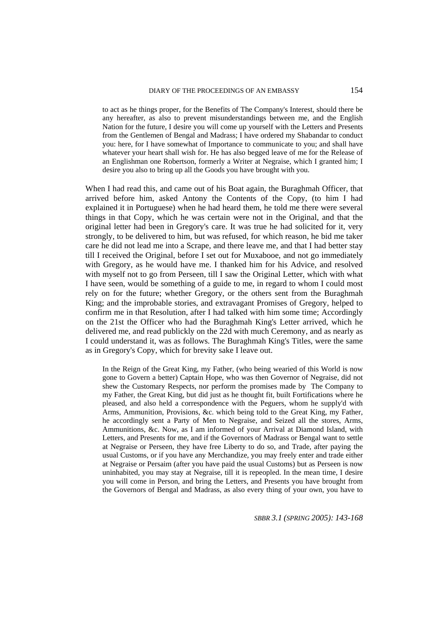#### DIARY OF THE PROCEEDINGS OF AN EMBASSY

to act as he things proper, for the Benefits of The Company's Interest, should there be any hereafter, as also to prevent misunderstandings between me, and the English Nation for the future, I desire you will come up yourself with the Letters and Presents from the Gentlemen of Bengal and Madrass; I have ordered my Shabandar to conduct you: here, for I have somewhat of Importance to communicate to you; and shall have whatever your heart shall wish for. He has also begged leave of me for the Release of an Englishman one Robertson, formerly a Writer at Negraise, which I granted him; I desire you also to bring up all the Goods you have brought with you.

When I had read this, and came out of his Boat again, the Buraghmah Officer, that arrived before him, asked Antony the Contents of the Copy, (to him I had explained it in Portuguese) when he had heard them, he told me there were several things in that Copy, which he was certain were not in the Original, and that the original letter had been in Gregory's care. It was true he had solicited for it, very strongly, to be delivered to him, but was refused, for which reason, he bid me taker care he did not lead me into a Scrape, and there leave me, and that I had better stay till I received the Original, before I set out for Muxabooe, and not go immediately with Gregory, as he would have me. I thanked him for his Advice, and resolved with myself not to go from Perseen, till I saw the Original Letter, which with what I have seen, would be something of a guide to me, in regard to whom I could most rely on for the future; whether Gregory, or the others sent from the Buraghmah King; and the improbable stories, and extravagant Promises of Gregory, helped to confirm me in that Resolution, after I had talked with him some time; Accordingly on the 21st the Officer who had the Buraghmah King's Letter arrived, which he delivered me, and read publickly on the 22d with much Ceremony, and as nearly as I could understand it, was as follows. The Buraghmah King's Titles, were the same as in Gregory's Copy, which for brevity sake I leave out.

In the Reign of the Great King, my Father, (who being wearied of this World is now gone to Govern a better) Captain Hope, who was then Governor of Negraise, did not shew the Customary Respects, nor perform the promises made by The Company to my Father, the Great King, but did just as he thought fit, built Fortifications where he pleased, and also held a correspondence with the Peguers, whom he supply'd with Arms, Ammunition, Provisions, &c. which being told to the Great King, my Father, he accordingly sent a Party of Men to Negraise, and Seized all the stores, Arms, Ammunitions, &c. Now, as I am informed of your Arrival at Diamond Island, with Letters, and Presents for me, and if the Governors of Madrass or Bengal want to settle at Negraise or Perseen, they have free Liberty to do so, and Trade, after paying the usual Customs, or if you have any Merchandize, you may freely enter and trade either at Negraise or Persaim (after you have paid the usual Customs) but as Perseen is now uninhabited, you may stay at Negraise, till it is repeopled. In the mean time, I desire you will come in Person, and bring the Letters, and Presents you have brought from the Governors of Bengal and Madrass, as also every thing of your own, you have to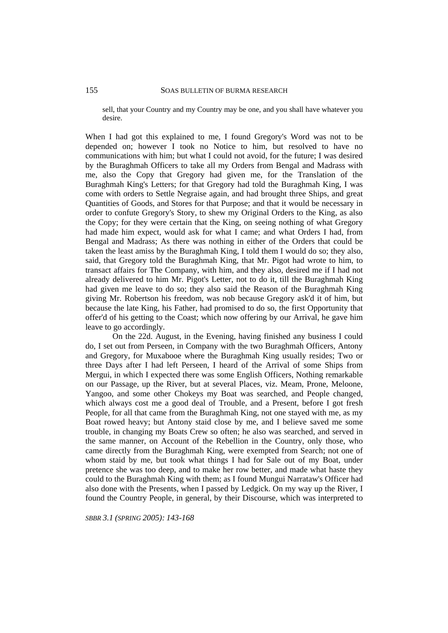sell, that your Country and my Country may be one, and you shall have whatever you desire.

When I had got this explained to me, I found Gregory's Word was not to be depended on; however I took no Notice to him, but resolved to have no communications with him; but what I could not avoid, for the future; I was desired by the Buraghmah Officers to take all my Orders from Bengal and Madrass with me, also the Copy that Gregory had given me, for the Translation of the Buraghmah King's Letters; for that Gregory had told the Buraghmah King, I was come with orders to Settle Negraise again, and had brought three Ships, and great Quantities of Goods, and Stores for that Purpose; and that it would be necessary in order to confute Gregory's Story, to shew my Original Orders to the King, as also the Copy; for they were certain that the King, on seeing nothing of what Gregory had made him expect, would ask for what I came; and what Orders I had, from Bengal and Madrass; As there was nothing in either of the Orders that could be taken the least amiss by the Buraghmah King, I told them I would do so; they also, said, that Gregory told the Buraghmah King, that Mr. Pigot had wrote to him, to transact affairs for The Company, with him, and they also, desired me if I had not already delivered to him Mr. Pigot's Letter, not to do it, till the Buraghmah King had given me leave to do so; they also said the Reason of the Buraghmah King giving Mr. Robertson his freedom, was nob because Gregory ask'd it of him, but because the late King, his Father, had promised to do so, the first Opportunity that offer'd of his getting to the Coast; which now offering by our Arrival, he gave him leave to go accordingly.

On the 22d. August, in the Evening, having finished any business I could do, I set out from Perseen, in Company with the two Buraghmah Officers, Antony and Gregory, for Muxabooe where the Buraghmah King usually resides; Two or three Days after I had left Perseen, I heard of the Arrival of some Ships from Mergui, in which I expected there was some English Officers, Nothing remarkable on our Passage, up the River, but at several Places, viz. Meam, Prone, Meloone, Yangoo, and some other Chokeys my Boat was searched, and People changed, which always cost me a good deal of Trouble, and a Present, before I got fresh People, for all that came from the Buraghmah King, not one stayed with me, as my Boat rowed heavy; but Antony staid close by me, and I believe saved me some trouble, in changing my Boats Crew so often; he also was searched, and served in the same manner, on Account of the Rebellion in the Country, only those, who came directly from the Buraghmah King, were exempted from Search; not one of whom staid by me, but took what things I had for Sale out of my Boat, under pretence she was too deep, and to make her row better, and made what haste they could to the Buraghmah King with them; as I found Mungui Narrataw's Officer had also done with the Presents, when I passed by Ledgick. On my way up the River, I found the Country People, in general, by their Discourse, which was interpreted to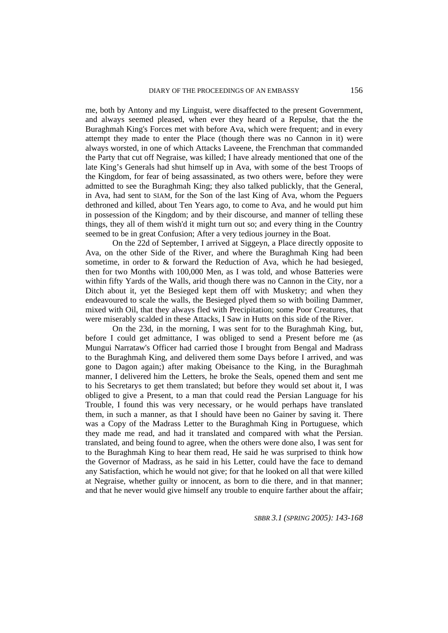me, both by Antony and my Linguist, were disaffected to the present Government, and always seemed pleased, when ever they heard of a Repulse, that the the Buraghmah King's Forces met with before Ava, which were frequent; and in every attempt they made to enter the Place (though there was no Cannon in it) were always worsted, in one of which Attacks Laveene, the Frenchman that commanded the Party that cut off Negraise, was killed; I have already mentioned that one of the late King's Generals had shut himself up in Ava, with some of the best Troops of the Kingdom, for fear of being assassinated, as two others were, before they were admitted to see the Buraghmah King; they also talked publickly, that the General, in Ava, had sent to SIAM, for the Son of the last King of Ava, whom the Peguers dethroned and killed, about Ten Years ago, to come to Ava, and he would put him in possession of the Kingdom; and by their discourse, and manner of telling these things, they all of them wish'd it might turn out so; and every thing in the Country seemed to be in great Confusion; After a very tedious journey in the Boat.

On the 22d of September, I arrived at Siggeyn, a Place directly opposite to Ava, on the other Side of the River, and where the Buraghmah King had been sometime, in order to & forward the Reduction of Ava, which he had besieged, then for two Months with 100,000 Men, as I was told, and whose Batteries were within fifty Yards of the Walls, arid though there was no Cannon in the City, nor a Ditch about it, yet the Besieged kept them off with Musketry; and when they endeavoured to scale the walls, the Besieged plyed them so with boiling Dammer, mixed with Oil, that they always fled with Precipitation; some Poor Creatures, that were miserably scalded in these Attacks, I Saw in Hutts on this side of the River.

On the 23d, in the morning, I was sent for to the Buraghmah King, but, before I could get admittance, I was obliged to send a Present before me (as Mungui Narrataw's Officer had carried those I brought from Bengal and Madrass to the Buraghmah King, and delivered them some Days before I arrived, and was gone to Dagon again;) after making Obeisance to the King, in the Buraghmah manner, I delivered him the Letters, he broke the Seals, opened them and sent me to his Secretarys to get them translated; but before they would set about it, I was obliged to give a Present, to a man that could read the Persian Language for his Trouble, I found this was very necessary, or he would perhaps have translated them, in such a manner, as that I should have been no Gainer by saving it. There was a Copy of the Madrass Letter to the Buraghmah King in Portuguese, which they made me read, and had it translated and compared with what the Persian. translated, and being found to agree, when the others were done also, I was sent for to the Buraghmah King to hear them read, He said he was surprised to think how the Governor of Madrass, as he said in his Letter, could have the face to demand any Satisfaction, which he would not give; for that he looked on all that were killed at Negraise, whether guilty or innocent, as born to die there, and in that manner; and that he never would give himself any trouble to enquire farther about the affair;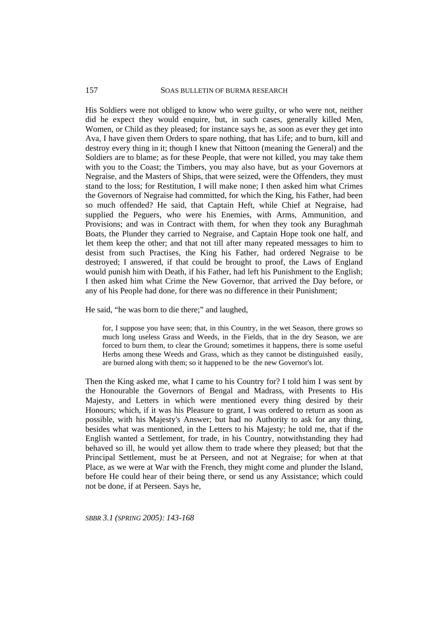## SOAS BULLETIN OF BURMA RESEARCH

157

His Soldiers were not obliged to know who were guilty, or who were not, neither did he expect they would enquire, but, in such cases, generally killed Men, Women, or Child as they pleased; for instance says he, as soon as ever they get into Ava, I have given them Orders to spare nothing, that has Life; and to burn, kill and destroy every thing in it; though I knew that Nittoon (meaning the General) and the Soldiers are to blame; as for these People, that were not killed, you may take them with you to the Coast; the Timbers, you may also have, but as your Governors at Negraise, and the Masters of Ships, that were seized, were the Offenders, they must stand to the loss; for Restitution, I will make none; I then asked him what Crimes the Governors of Negraise had committed, for which the King, his Father, had been so much offended? He said, that Captain Heft, while Chief at Negraise, had supplied the Peguers, who were his Enemies, with Arms, Ammunition, and Provisions; and was in Contract with them, for when they took any Buraghmah Boats, the Plunder they carried to Negraise, and Captain Hope took one half, and let them keep the other; and that not till after many repeated messages to him to desist from such Practises, the King his Father, had ordered Negraise to be destroyed; I answered, if that could be brought to proof, the Laws of England would punish him with Death, if his Father, had left his Punishment to the English; I then asked him what Crime the New Governor, that arrived the Day before, or any of his People had done, for there was no difference in their Punishment;

He said, "he was born to die there;" and laughed,

for, I suppose you have seen; that, in this Country, in the wet Season, there grows so much long useless Grass and Weeds, in the Fields, that in the dry Season, we are forced to burn them, to clear the Ground; sometimes it happens, there is some useful Herbs among these Weeds and Grass, which as they cannot be distinguished easily, are burned along with them; so it happened to be the new Governor's lot.

Then the King asked me, what I came to his Country for? I told him I was sent by the Honourable the Governors of Bengal and Madrass, with Presents to His Majesty, and Letters in which were mentioned every thing desired by their Honours; which, if it was his Pleasure to grant, I was ordered to return as soon as possible, with his Majesty's Answer; but had no Authority to ask for any thing, besides what was mentioned, in the Letters to his Majesty; he told me, that if the English wanted a Settlement, for trade, in his Country, notwithstanding they had behaved so ill, he would yet allow them to trade where they pleased; but that the Principal Settlement, must be at Perseen, and not at Negraise; for when at that Place, as we were at War with the French, they might come and plunder the Island, before He could hear of their being there, or send us any Assistance; which could not be done, if at Perseen. Says he,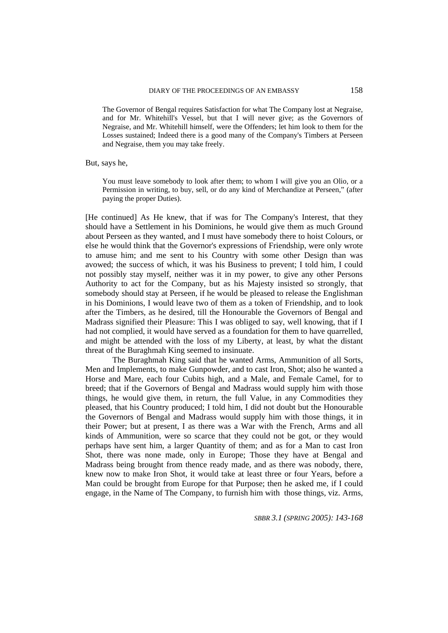The Governor of Bengal requires Satisfaction for what The Company lost at Negraise, and for Mr. Whitehill's Vessel, but that I will never give; as the Governors of Negraise, and Mr. Whitehill himself, were the Offenders; let him look to them for the Losses sustained; Indeed there is a good many of the Company's Timbers at Perseen and Negraise, them you may take freely.

But, says he,

You must leave somebody to look after them; to whom I will give you an Olio, or a Permission in writing, to buy, sell, or do any kind of Merchandize at Perseen," (after paying the proper Duties).

[He continued] As He knew, that if was for The Company's Interest, that they should have a Settlement in his Dominions, he would give them as much Ground about Perseen as they wanted, and I must have somebody there to hoist Colours, or else he would think that the Governor's expressions of Friendship, were only wrote to amuse him; and me sent to his Country with some other Design than was avowed; the success of which, it was his Business to prevent; I told him, I could not possibly stay myself, neither was it in my power, to give any other Persons Authority to act for the Company, but as his Majesty insisted so strongly, that somebody should stay at Perseen, if he would be pleased to release the Englishman in his Dominions, I would leave two of them as a token of Friendship, and to look after the Timbers, as he desired, till the Honourable the Governors of Bengal and Madrass signified their Pleasure: This I was obliged to say, well knowing, that if I had not complied, it would have served as a foundation for them to have quarrelled, and might be attended with the loss of my Liberty, at least, by what the distant threat of the Buraghmah King seemed to insinuate.

The Buraghmah King said that he wanted Arms, Ammunition of all Sorts, Men and Implements, to make Gunpowder, and to cast Iron, Shot; also he wanted a Horse and Mare, each four Cubits high, and a Male, and Female Camel, for to breed; that if the Governors of Bengal and Madrass would supply him with those things, he would give them, in return, the full Value, in any Commodities they pleased, that his Country produced; I told him, I did not doubt but the Honourable the Governors of Bengal and Madrass would supply him with those things, it in their Power; but at present, I as there was a War with the French, Arms and all kinds of Ammunition, were so scarce that they could not be got, or they would perhaps have sent him, a larger Quantity of them; and as for a Man to cast Iron Shot, there was none made, only in Europe; Those they have at Bengal and Madrass being brought from thence ready made, and as there was nobody, there, knew now to make Iron Shot, it would take at least three or four Years, before a Man could be brought from Europe for that Purpose; then he asked me, if I could engage, in the Name of The Company, to furnish him with those things, viz. Arms,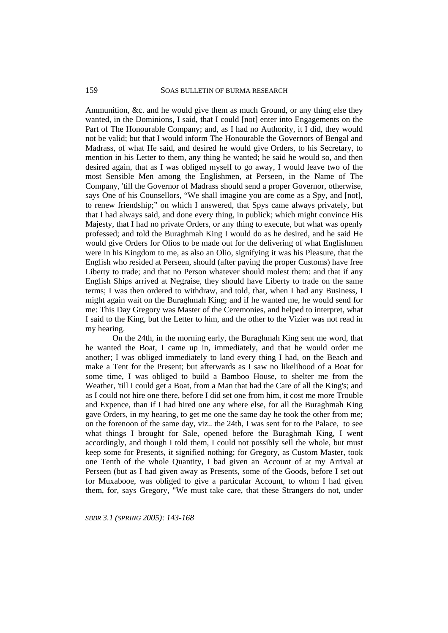Ammunition, &c. and he would give them as much Ground, or any thing else they wanted, in the Dominions, I said, that I could [not] enter into Engagements on the Part of The Honourable Company; and, as I had no Authority, it I did, they would not be valid; but that I would inform The Honourable the Governors of Bengal and Madrass, of what He said, and desired he would give Orders, to his Secretary, to mention in his Letter to them, any thing he wanted; he said he would so, and then desired again, that as I was obliged myself to go away, I would leave two of the most Sensible Men among the Englishmen, at Perseen, in the Name of The Company, 'till the Governor of Madrass should send a proper Governor, otherwise, says One of his Counsellors, "We shall imagine you are come as a Spy, and [not], to renew friendship;" on which I answered, that Spys came always privately, but that I had always said, and done every thing, in publick; which might convince His Majesty, that I had no private Orders, or any thing to execute, but what was openly professed; and told the Buraghmah King I would do as he desired, and he said He would give Orders for Olios to be made out for the delivering of what Englishmen were in his Kingdom to me, as also an Olio, signifying it was his Pleasure, that the English who resided at Perseen, should (after paying the proper Customs) have free Liberty to trade; and that no Person whatever should molest them: and that if any English Ships arrived at Negraise, they should have Liberty to trade on the same terms; I was then ordered to withdraw, and told, that, when I had any Business, I might again wait on the Buraghmah King; and if he wanted me, he would send for me: This Day Gregory was Master of the Ceremonies, and helped to interpret, what I said to the King, but the Letter to him, and the other to the Vizier was not read in my hearing.

On the 24th, in the morning early, the Buraghmah King sent me word, that he wanted the Boat, I came up in, immediately, and that he would order me another; I was obliged immediately to land every thing I had, on the Beach and make a Tent for the Present; but afterwards as I saw no likelihood of a Boat for some time, I was obliged to build a Bamboo House, to shelter me from the Weather, 'till I could get a Boat, from a Man that had the Care of all the King's; and as I could not hire one there, before I did set one from him, it cost me more Trouble and Expence, than if I had hired one any where else, for all the Buraghmah King gave Orders, in my hearing, to get me one the same day he took the other from me; on the forenoon of the same day, viz.. the 24th, I was sent for to the Palace, to see what things I brought for Sale, opened before the Buraghmah King, I went accordingly, and though I told them, I could not possibly sell the whole, but must keep some for Presents, it signified nothing; for Gregory, as Custom Master, took one Tenth of the whole Quantity, I bad given an Account of at my Arrival at Perseen (but as I had given away as Presents, some of the Goods, before I set out for Muxabooe, was obliged to give a particular Account, to whom I had given them, for, says Gregory, "We must take care, that these Strangers do not, under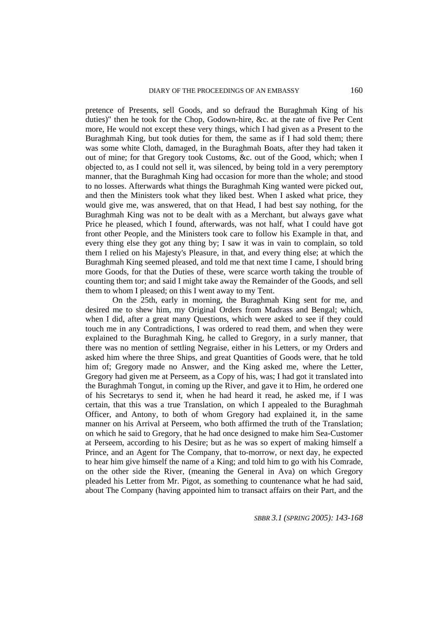pretence of Presents, sell Goods, and so defraud the Buraghmah King of his duties)" then he took for the Chop, Godown-hire, &c. at the rate of five Per Cent more, He would not except these very things, which I had given as a Present to the Buraghmah King, but took duties for them, the same as if I had sold them; there was some white Cloth, damaged, in the Buraghmah Boats, after they had taken it out of mine; for that Gregory took Customs, &c. out of the Good, which; when I objected to, as I could not sell it, was silenced, by being told in a very peremptory manner, that the Buraghmah King had occasion for more than the whole; and stood to no losses. Afterwards what things the Buraghmah King wanted were picked out, and then the Ministers took what they liked best. When I asked what price, they would give me, was answered, that on that Head, I had best say nothing, for the Buraghmah King was not to be dealt with as a Merchant, but always gave what Price he pleased, which I found, afterwards, was not half, what I could have got front other People, and the Ministers took care to follow his Example in that, and every thing else they got any thing by; I saw it was in vain to complain, so told them I relied on his Majesty's Pleasure, in that, and every thing else; at which the Buraghmah King seemed pleased, and told me that next time I came, I should bring more Goods, for that the Duties of these, were scarce worth taking the trouble of counting them tor; and said I might take away the Remainder of the Goods, and sell them to whom I pleased; on this I went away to my Tent.

On the 25th, early in morning, the Buraghmah King sent for me, and desired me to shew him, my Original Orders from Madrass and Bengal; which, when I did, after a great many Questions, which were asked to see if they could touch me in any Contradictions, I was ordered to read them, and when they were explained to the Buraghmah King, he called to Gregory, in a surly manner, that there was no mention of settling Negraise, either in his Letters, or my Orders and asked him where the three Ships, and great Quantities of Goods were, that he told him of; Gregory made no Answer, and the King asked me, where the Letter, Gregory had given me at Perseem, as a Copy of his, was; I had got it translated into the Buraghmah Tongut, in coming up the River, and gave it to Him, he ordered one of his Secretarys to send it, when he had heard it read, he asked me, if I was certain, that this was a true Translation, on which I appealed to the Buraghmah Officer, and Antony, to both of whom Gregory had explained it, in the same manner on his Arrival at Perseem, who both affirmed the truth of the Translation; on which he said to Gregory, that he had once designed to make him Sea-Customer at Perseem, according to his Desire; but as he was so expert of making himself a Prince, and an Agent for The Company, that to-morrow, or next day, he expected to hear him give himself the name of a King; and told him to go with his Comrade, on the other side the River, (meaning the General in Ava) on which Gregory pleaded his Letter from Mr. Pigot, as something to countenance what he had said, about The Company (having appointed him to transact affairs on their Part, and the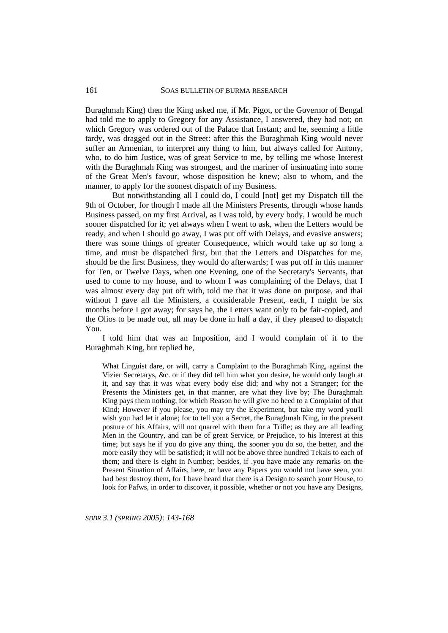Buraghmah King) then the King asked me, if Mr. Pigot, or the Governor of Bengal had told me to apply to Gregory for any Assistance, I answered, they had not; on which Gregory was ordered out of the Palace that Instant; and he, seeming a little tardy, was dragged out in the Street: after this the Buraghmah King would never suffer an Armenian, to interpret any thing to him, but always called for Antony, who, to do him Justice, was of great Service to me, by telling me whose Interest with the Buraghmah King was strongest, and the mariner of insinuating into some of the Great Men's favour, whose disposition he knew; also to whom, and the manner, to apply for the soonest dispatch of my Business.

But notwithstanding all I could do, I could [not] get my Dispatch till the 9th of October, for though I made all the Ministers Presents, through whose hands Business passed, on my first Arrival, as I was told, by every body, I would be much sooner dispatched for it; yet always when I went to ask, when the Letters would be ready, and when I should go away, I was put off with Delays, and evasive answers; there was some things of greater Consequence, which would take up so long a time, and must be dispatched first, but that the Letters and Dispatches for me, should be the first Business, they would do afterwards; I was put off in this manner for Ten, or Twelve Days, when one Evening, one of the Secretary's Servants, that used to come to my house, and to whom I was complaining of the Delays, that I was almost every day put oft with, told me that it was done on purpose, and thai without I gave all the Ministers, a considerable Present, each, I might be six months before I got away; for says he, the Letters want only to be fair-copied, and the Olios to be made out, all may be done in half a day, if they pleased to dispatch You.

I told him that was an Imposition, and I would complain of it to the Buraghmah King, but replied he,

What Linguist dare, or will, carry a Complaint to the Buraghmah King, against the Vizier Secretarys, &c. or if they did tell him what you desire, he would only laugh at it, and say that it was what every body else did; and why not a Stranger; for the Presents the Ministers get, in that manner, are what they live by; The Buraghmah King pays them nothing, for which Reason he will give no heed to a Complaint of that Kind; However if you please, you may try the Experiment, but take my word you'll wish you had let it alone; for to tell you a Secret, the Buraghmah King, in the present posture of his Affairs, will not quarrel with them for a Trifle; as they are all leading Men in the Country, and can be of great Service, or Prejudice, to his Interest at this time; but says he if you do give any thing, the sooner you do so, the better, and the more easily they will be satisfied; it will not be above three hundred Tekals to each of them; and there is eight in Number; besides, if .you have made any remarks on the Present Situation of Affairs, here, or have any Papers you would not have seen, you had best destroy them, for I have heard that there is a Design to search your House, to look for Pafws, in order to discover, it possible, whether or not you have any Designs,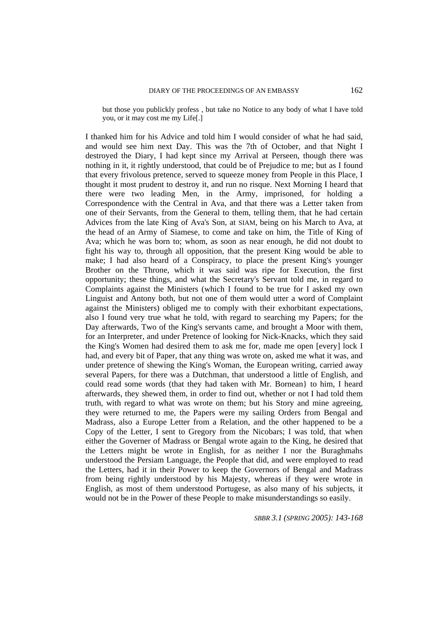but those you publickly profess , but take no Notice to any body of what I have told you, or it may cost me my Life[.]

I thanked him for his Advice and told him I would consider of what he had said, and would see him next Day. This was the 7th of October, and that Night I destroyed the Diary, I had kept since my Arrival at Perseen, though there was nothing in it, it rightly understood, that could be of Prejudice to me; but as I found that every frivolous pretence, served to squeeze money from People in this Place, I thought it most prudent to destroy it, and run no risque. Next Morning I heard that there were two leading Men, in the Army, imprisoned, for holding a Correspondence with the Central in Ava, and that there was a Letter taken from one of their Servants, from the General to them, telling them, that he had certain Advices from the late King of Ava's Son, at SIAM, being on his March to Ava, at the head of an Army of Siamese, to come and take on him, the Title of King of Ava; which he was born to; whom, as soon as near enough, he did not doubt to fight his way to, through all opposition, that the present King would be able to make; I had also heard of a Conspiracy, to place the present King's younger Brother on the Throne, which it was said was ripe for Execution, the first opportunity; these things, and what the Secretary's Servant told me, in regard to Complaints against the Ministers (which I found to be true for I asked my own Linguist and Antony both, but not one of them would utter a word of Complaint against the Ministers) obliged me to comply with their exhorbitant expectations, also I found very true what he told, with regard to searching my Papers; for the Day afterwards, Two of the King's servants came, and brought a Moor with them, for an Interpreter, and under Pretence of looking for Nick-Knacks, which they said the King's Women had desired them to ask me for, made me open [every] lock I had, and every bit of Paper, that any thing was wrote on, asked me what it was, and under pretence of shewing the King's Woman, the European writing, carried away several Papers, for there was a Dutchman, that understood a little of English, and could read some words (that they had taken with Mr. Bornean} to him, I heard afterwards, they shewed them, in order to find out, whether or not I had told them truth, with regard to what was wrote on them; but his Story and mine agreeing, they were returned to me, the Papers were my sailing Orders from Bengal and Madrass, also a Europe Letter from a Relation, and the other happened to be a Copy of the Letter, I sent to Gregory from the Nicobars; I was told, that when either the Governer of Madrass or Bengal wrote again to the King, he desired that the Letters might be wrote in English, for as neither I nor the Buraghmahs understood the Persiam Language, the People that did, and were employed to read the Letters, had it in their Power to keep the Governors of Bengal and Madrass from being rightly understood by his Majesty, whereas if they were wrote in English, as most of them understood Portugese, as also many of his subjects, it would not be in the Power of these People to make misunderstandings so easily.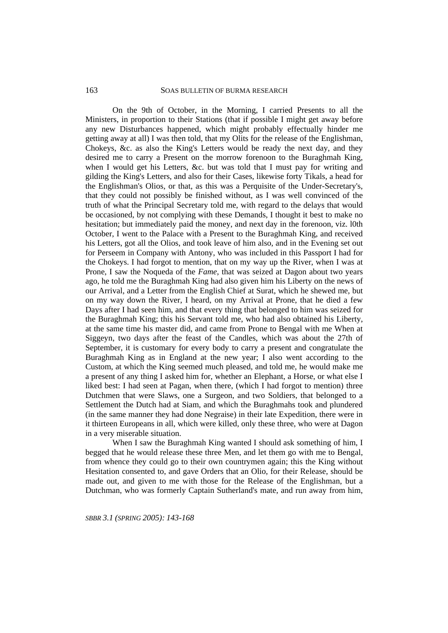## SOAS BULLETIN OF BURMA RESEARCH

On the 9th of October, in the Morning, I carried Presents to all the Ministers, in proportion to their Stations (that if possible I might get away before any new Disturbances happened, which might probably effectually hinder me getting away at all) I was then told, that my Olits for the release of the Englishman, Chokeys, &c. as also the King's Letters would be ready the next day, and they desired me to carry a Present on the morrow forenoon to the Buraghmah King, when I would get his Letters, &c. but was told that I must pay for writing and gilding the King's Letters, and also for their Cases, likewise forty Tikals, a head for the Englishman's Olios, or that, as this was a Perquisite of the Under-Secretary's, that they could not possibly be finished without, as I was well convinced of the truth of what the Principal Secretary told me, with regard to the delays that would be occasioned, by not complying with these Demands, I thought it best to make no hesitation; but immediately paid the money, and next day in the forenoon, viz. l0th October, I went to the Palace with a Present to the Buraghmah King, and received his Letters, got all the Olios, and took leave of him also, and in the Evening set out for Perseem in Company with Antony, who was included in this Passport I had for the Chokeys. I had forgot to mention, that on my way up the River, when I was at Prone, I saw the Noqueda of the *Fame*, that was seized at Dagon about two years ago, he told me the Buraghmah King had also given him his Liberty on the news of our Arrival, and a Letter from the English Chief at Surat, which he shewed me, but on my way down the River, I heard, on my Arrival at Prone, that he died a few Days after I had seen him, and that every thing that belonged to him was seized for the Buraghmah King; this his Servant told me, who had also obtained his Liberty, at the same time his master did, and came from Prone to Bengal with me When at Siggeyn, two days after the feast of the Candles, which was about the 27th of September, it is customary for every body to carry a present and congratulate the Buraghmah King as in England at the new year; I also went according to the Custom, at which the King seemed much pleased, and told me, he would make me a present of any thing I asked him for, whether an Elephant, a Horse, or what else I liked best: I had seen at Pagan, when there, (which I had forgot to mention) three Dutchmen that were Slaws, one a Surgeon, and two Soldiers, that belonged to a Settlement the Dutch had at Siam, and which the Buraghmahs took and plundered (in the same manner they had done Negraise) in their late Expedition, there were in it thirteen Europeans in all, which were killed, only these three, who were at Dagon in a very miserable situation.

When I saw the Buraghmah King wanted I should ask something of him. I begged that he would release these three Men, and let them go with me to Bengal, from whence they could go to their own countrymen again; this the King without Hesitation consented to, and gave Orders that an Olio, for their Release, should be made out, and given to me with those for the Release of the Englishman, but a Dutchman, who was formerly Captain Sutherland's mate, and run away from him,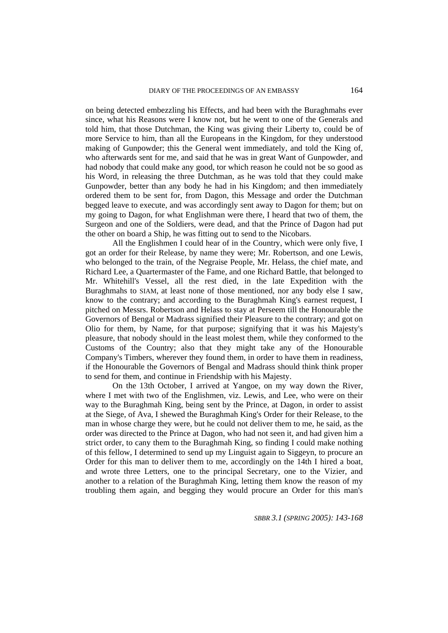on being detected embezzling his Effects, and had been with the Buraghmahs ever since, what his Reasons were I know not, but he went to one of the Generals and told him, that those Dutchman, the King was giving their Liberty to, could be of more Service to him, than all the Europeans in the Kingdom, for they understood making of Gunpowder; this the General went immediately, and told the King of, who afterwards sent for me, and said that he was in great Want of Gunpowder, and had nobody that could make any good, tor which reason he could not be so good as his Word, in releasing the three Dutchman, as he was told that they could make Gunpowder, better than any body he had in his Kingdom; and then immediately ordered them to be sent for, from Dagon, this Message and order the Dutchman begged leave to execute, and was accordingly sent away to Dagon for them; but on my going to Dagon, for what Englishman were there, I heard that two of them, the Surgeon and one of the Soldiers, were dead, and that the Prince of Dagon had put the other on board a Ship, he was fitting out to send to the Nicobars.

All the Englishmen I could hear of in the Country, which were only five, I got an order for their Release, by name they were; Mr. Robertson, and one Lewis, who belonged to the train, of the Negraise People, Mr. Helass, the chief mate, and Richard Lee, a Quartermaster of the Fame, and one Richard Battle, that belonged to Mr. Whitehill's Vessel, all the rest died, in the late Expedition with the Buraghmahs to SIAM, at least none of those mentioned, nor any body else I saw, know to the contrary; and according to the Buraghmah King's earnest request, I pitched on Messrs. Robertson and Helass to stay at Perseem till the Honourable the Governors of Bengal or Madrass signified their Pleasure to the contrary; and got on Olio for them, by Name, for that purpose; signifying that it was his Majesty's pleasure, that nobody should in the least molest them, while they conformed to the Customs of the Country; also that they might take any of the Honourable Company's Timbers, wherever they found them, in order to have them in readiness, if the Honourable the Governors of Bengal and Madrass should think think proper to send for them, and continue in Friendship with his Majesty.

On the 13th October, I arrived at Yangoe, on my way down the River, where I met with two of the Englishmen, viz. Lewis, and Lee, who were on their way to the Buraghmah King, being sent by the Prince, at Dagon, in order to assist at the Siege, of Ava, I shewed the Buraghmah King's Order for their Release, to the man in whose charge they were, but he could not deliver them to me, he said, as the order was directed to the Prince at Dagon, who had not seen it, and had given him a strict order, to cany them to the Buraghmah King, so finding I could make nothing of this fellow, I determined to send up my Linguist again to Siggeyn, to procure an Order for this man to deliver them to me, accordingly on the 14th I hired a boat, and wrote three Letters, one to the principal Secretary, one to the Vizier, and another to a relation of the Buraghmah King, letting them know the reason of my troubling them again, and begging they would procure an Order for this man's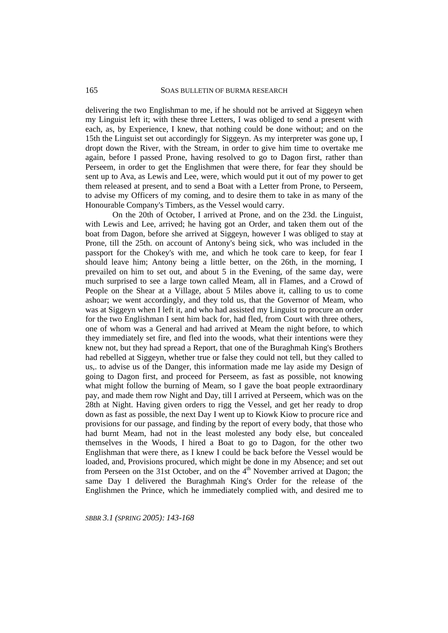delivering the two Englishman to me, if he should not be arrived at Siggeyn when my Linguist left it; with these three Letters, I was obliged to send a present with each, as, by Experience, I knew, that nothing could be done without; and on the 15th the Linguist set out accordingly for Siggeyn. As my interpreter was gone up, I dropt down the River, with the Stream, in order to give him time to overtake me again, before I passed Prone, having resolved to go to Dagon first, rather than Perseem, in order to get the Englishmen that were there, for fear they should be sent up to Ava, as Lewis and Lee, were, which would put it out of my power to get them released at present, and to send a Boat with a Letter from Prone, to Perseem, to advise my Officers of my coming, and to desire them to take in as many of the Honourable Company's Timbers, as the Vessel would carry.

On the 20th of October, I arrived at Prone, and on the 23d. the Linguist, with Lewis and Lee, arrived; he having got an Order, and taken them out of the boat from Dagon, before she arrived at Siggeyn, however I was obliged to stay at Prone, till the 25th. on account of Antony's being sick, who was included in the passport for the Chokey's with me, and which he took care to keep, for fear I should leave him; Antony being a little better, on the 26th, in the morning, I prevailed on him to set out, and about 5 in the Evening, of the same day, were much surprised to see a large town called Meam, all in Flames, and a Crowd of People on the Shear at a Village, about 5 Miles above it, calling to us to come ashoar; we went accordingly, and they told us, that the Governor of Meam, who was at Siggeyn when I left it, and who had assisted my Linguist to procure an order for the two Englishman I sent him back for, had fled, from Court with three others, one of whom was a General and had arrived at Meam the night before, to which they immediately set fire, and fled into the woods, what their intentions were they knew not, but they had spread a Report, that one of the Buraghmah King's Brothers had rebelled at Siggeyn, whether true or false they could not tell, but they called to us,. to advise us of the Danger, this information made me lay aside my Design of going to Dagon first, and proceed for Perseem, as fast as possible, not knowing what might follow the burning of Meam, so I gave the boat people extraordinary pay, and made them row Night and Day, till I arrived at Perseem, which was on the 28th at Night. Having given orders to rigg the Vessel, and get her ready to drop down as fast as possible, the next Day I went up to Kiowk Kiow to procure rice and provisions for our passage, and finding by the report of every body, that those who had burnt Meam, had not in the least molested any body else, but concealed themselves in the Woods, I hired a Boat to go to Dagon, for the other two Englishman that were there, as I knew I could be back before the Vessel would be loaded, and, Provisions procured, which might be done in my Absence; and set out from Perseen on the 31st October, and on the  $4<sup>th</sup>$  November arrived at Dagon; the same Day I delivered the Buraghmah King's Order for the release of the Englishmen the Prince, which he immediately complied with, and desired me to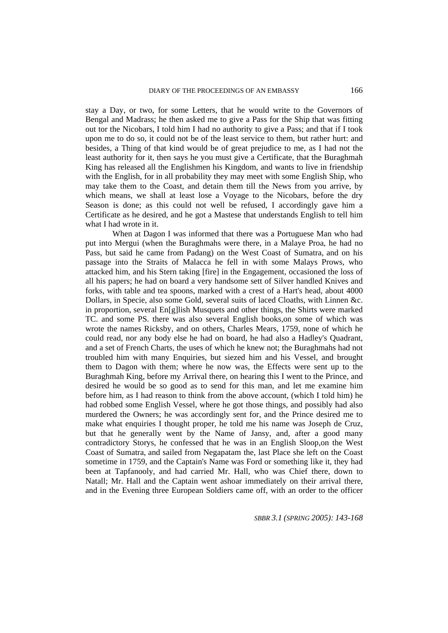stay a Day, or two, for some Letters, that he would write to the Governors of Bengal and Madrass; he then asked me to give a Pass for the Ship that was fitting out tor the Nicobars, I told him I had no authority to give a Pass; and that if I took upon me to do so, it could not be of the least service to them, but rather hurt: and besides, a Thing of that kind would be of great prejudice to me, as I had not the least authority for it, then says he you must give a Certificate, that the Buraghmah King has released all the Englishmen his Kingdom, and wants to live in friendship with the English, for in all probability they may meet with some English Ship, who may take them to the Coast, and detain them till the News from you arrive, by which means, we shall at least lose a Voyage to the Nicobars, before the dry Season is done; as this could not well be refused, I accordingly gave him a Certificate as he desired, and he got a Mastese that understands English to tell him what I had wrote in it.

When at Dagon I was informed that there was a Portuguese Man who had put into Mergui (when the Buraghmahs were there, in a Malaye Proa, he had no Pass, but said he came from Padang) on the West Coast of Sumatra, and on his passage into the Straits of Malacca he fell in with some Malays Prows, who attacked him, and his Stern taking [fire] in the Engagement, occasioned the loss of all his papers; he had on board a very handsome sett of Silver handled Knives and forks, with table and tea spoons, marked with a crest of a Hart's head, about 4000 Dollars, in Specie, also some Gold, several suits of laced Cloaths, with Linnen &c. in proportion, several En[g]lish Musquets and other things, the Shirts were marked TC. and some PS. there was also several English books,on some of which was wrote the names Ricksby, and on others, Charles Mears, 1759, none of which he could read, nor any body else he had on board, he had also a Hadley's Quadrant, and a set of French Charts, the uses of which he knew not; the Buraghmahs had not troubled him with many Enquiries, but siezed him and his Vessel, and brought them to Dagon with them; where he now was, the Effects were sent up to the Buraghmah King, before my Arrival there, on hearing this I went to the Prince, and desired he would be so good as to send for this man, and let me examine him before him, as I had reason to think from the above account, (which I told him) he had robbed some English Vessel, where he got those things, and possibly had also murdered the Owners; he was accordingly sent for, and the Prince desired me to make what enquiries I thought proper, he told me his name was Joseph de Cruz, but that he generally went by the Name of Jansy, and, after a good many contradictory Storys, he confessed that he was in an English Sloop,on the West Coast of Sumatra, and sailed from Negapatam the, last Place she left on the Coast sometime in 1759, and the Captain's Name was Ford or something like it, they had been at Tapfanooly, and had carried Mr. Hall, who was Chief there, down to Natall; Mr. Hall and the Captain went ashoar immediately on their arrival there, and in the Evening three European Soldiers came off, with an order to the officer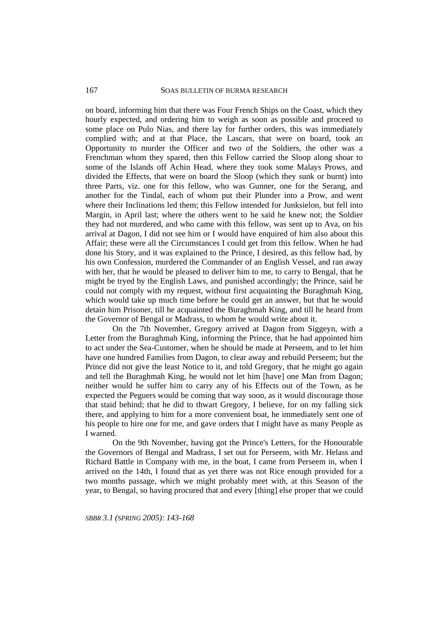on board, informing him that there was Four French Ships on the Coast, which they hourly expected, and ordering him to weigh as soon as possible and proceed to some place on Pulo Nias, and there lay for further orders, this was immediately complied with; and at that Place, the Lascars, that were on board, took an Opportunity to murder the Officer and two of the Soldiers, the other was a Frenchman whom they spared, then this Fellow carried the Sloop along shoar to some of the Islands off Achin Head, where they took some Malays Prows, and divided the Effects, that were on board the Sloop (which they sunk or burnt) into three Parts, viz. one for this fellow, who was Gunner, one for the Serang, and another for the Tindal, each of whom put their Plunder into a Prow, and went where their Inclinations led them; this Fellow intended for Junksielon, but fell into Margin, in April last; where the others went to he said he knew not; the Soldier they had not murdered, and who came with this fellow, was sent up to Ava, on his arrival at Dagon, I did not see him or I would have enquired of him also about this Affair; these were all the Circumstances I could get from this fellow. When he had done his Story, and it was explained to the Prince, I desired, as this fellow had, by his own Confession, murdered the Commander of an English Vessel, and ran away with her, that he would be pleased to deliver him to me, to carry to Bengal, that he might be tryed by the English Laws, and punished accordingly; the Prince, said he could not comply with my request, without first acquainting the Buraghmah King, which would take up much time before he could get an answer, but that he would detain him Prisoner, till he acquainted the Buraghmah King, and till he heard from the Governor of Bengal or Madrass, to whom he would write about it.

On the 7th November, Gregory arrived at Dagon from Siggeyn, with a Letter from the Buraghmah King, informing the Prince, that he had appointed him to act under the Sea-Customer, when he should be made at Perseem, and to let him have one hundred Families from Dagon, to clear away and rebuild Perseem; but the Prince did not give the least Notice to it, and told Gregory, that he might go again and tell the Buraghmah King, he would not let him [have] one Man from Dagon; neither would he suffer him to carry any of his Effects out of the Town, as he expected the Peguers would be coming that way soon, as it would discourage those that staid behind; that he did to thwart Gregory, I believe, for on my falling sick there, and applying to him for a more convenient boat, he immediately sent one of his people to hire one for me, and gave orders that I might have as many People as I warned.

On the 9th November, having got the Prince's Letters, for the Honourable the Governors of Bengal and Madrass, I set out for Perseem, with Mr. Helass and Richard Battle in Company with me, in the boat, I came from Perseem in, when I arrived on the 14th, I found that as yet there was not Rice enough provided for a two months passage, which we might probably meet with, at this Season of the year, to Bengal, so having procured that and every [thing] else proper that we could